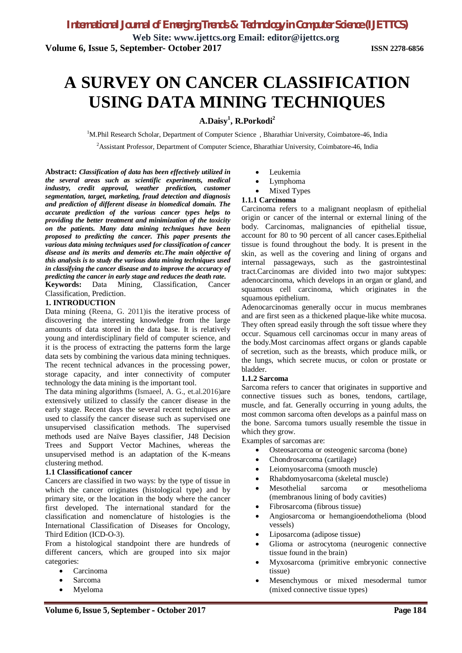**Web Site: [www.ijettcs.org](http://www.ijettcs.org) Email: [editor@ijettcs.org](mailto:editor@ijettcs.org) Volume 6, Issue 5, September- October 2017 ISSN 2278-6856**

# **A SURVEY ON CANCER CLASSIFICATION USING DATA MINING TECHNIQUES**

## **A.Daisy<sup>1</sup> , R.Porkodi<sup>2</sup>**

<sup>1</sup>M.Phil Research Scholar, Department of Computer Science, Bharathiar University, Coimbatore-46, India

<sup>2</sup> Assistant Professor, Department of Computer Science, Bharathiar University, Coimbatore-46, India

**Abstract:** *Classification of data has been effectively utilized in the several areas such as scientific experiments, medical industry, credit approval, weather prediction, customer segmentation, target, marketing, fraud detection and diagnosis and prediction of different disease in biomedical domain. The accurate prediction of the various cancer types helps to providing the better treatment and minimization of the toxicity on the patients. Many data mining techniques have been proposed to predicting the cancer. This paper presents the various data mining techniques used for classification of cancer disease and its merits and demerits etc.The main objective of this analysis is to study the various data mining techniques used in classifying the cancer disease and to improve the accuracy of predicting the cancer in early stage and reduces the death rate.* 

**Keywords:** Data Mining, Classification, Cancer Classification, Prediction.

## **1. INTRODUCTION**

Data mining (Reena, G. 2011)is the iterative process of discovering the interesting knowledge from the large amounts of data stored in the data base. It is relatively young and interdisciplinary field of computer science, and it is the process of extracting the patterns form the large data sets by combining the various data mining techniques. The recent technical advances in the processing power, storage capacity, and inter connectivity of computer technology the data mining is the important tool.

The data mining algorithms (Ismaeel, A. G., et.al.2016)are extensively utilized to classify the cancer disease in the early stage. Recent days the several recent techniques are used to classify the cancer disease such as supervised one unsupervised classification methods. The supervised methods used are Naïve Bayes classifier, J48 Decision Trees and Support Vector Machines, whereas the unsupervised method is an adaptation of the K-means clustering method.

#### **1.1 Classificationof cancer**

Cancers are classified in two ways: by the type of tissue in which the cancer originates (histological type) and by primary site, or the location in the body where the cancer first developed. The international standard for the classification and nomenclature of histologies is the International Classification of Diseases for Oncology, Third Edition (ICD-O-3).

From a histological standpoint there are hundreds of different cancers, which are grouped into six major categories:

- Carcinoma
- Sarcoma
- Myeloma
- Leukemia
- Lymphoma
- Mixed Types

#### **1.1.1 Carcinoma**

Carcinoma refers to a malignant neoplasm of epithelial origin or cancer of the internal or external lining of the body. Carcinomas, malignancies of epithelial tissue, account for 80 to 90 percent of all cancer cases.Epithelial tissue is found throughout the body. It is present in the skin, as well as the covering and lining of organs and internal passageways, such as the gastrointestinal tract.Carcinomas are divided into two major subtypes: adenocarcinoma, which develops in an organ or gland, and squamous cell carcinoma, which originates in the squamous epithelium.

Adenocarcinomas generally occur in mucus membranes and are first seen as a thickened plaque-like white mucosa. They often spread easily through the soft tissue where they occur. Squamous cell carcinomas occur in many areas of the body.Most carcinomas affect organs or glands capable of secretion, such as the breasts, which produce milk, or the lungs, which secrete mucus, or colon or prostate or bladder.

## **1.1.2 Sarcoma**

Sarcoma refers to cancer that originates in supportive and connective tissues such as bones, tendons, cartilage, muscle, and fat. Generally occurring in young adults, the most common sarcoma often develops as a painful mass on the bone. Sarcoma tumors usually resemble the tissue in which they grow.

Examples of sarcomas are:

- Osteosarcoma or osteogenic sarcoma (bone)
- Chondrosarcoma (cartilage)
- Leiomyosarcoma (smooth muscle)
- Rhabdomyosarcoma (skeletal muscle)
- Mesothelial sarcoma or mesothelioma (membranous lining of body cavities)
- Fibrosarcoma (fibrous tissue)
- Angiosarcoma or hemangioendothelioma (blood vessels)
- Liposarcoma (adipose tissue)
- Glioma or astrocytoma (neurogenic connective tissue found in the brain)
- Myxosarcoma (primitive embryonic connective tissue)
- Mesenchymous or mixed mesodermal tumor (mixed connective tissue types)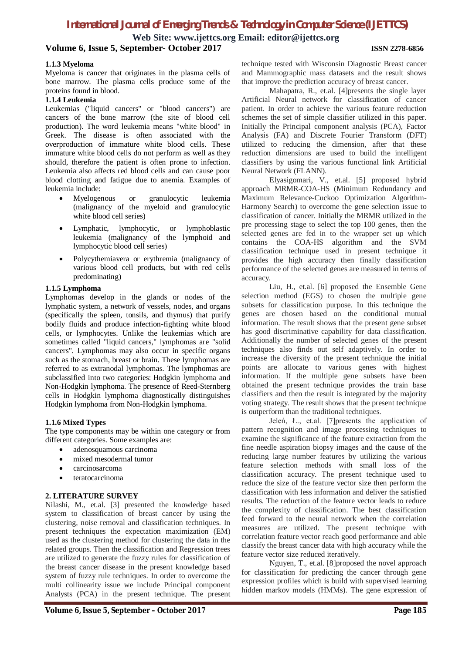**Web Site: [www.ijettcs.org](http://www.ijettcs.org) Email: [editor@ijettcs.org](mailto:editor@ijettcs.org)**

## **Volume 6, Issue 5, September- October 2017 ISSN 2278-6856**

#### **1.1.3 Myeloma**

Myeloma is cancer that originates in the plasma cells of bone marrow. The plasma cells produce some of the proteins found in blood.

### **1.1.4 Leukemia**

Leukemias ("liquid cancers" or "blood cancers") are cancers of the bone marrow (the site of blood cell production). The word leukemia means "white blood" in Greek. The disease is often associated with the overproduction of immature white blood cells. These immature white blood cells do not perform as well as they should, therefore the patient is often prone to infection. Leukemia also affects red blood cells and can cause poor blood clotting and fatigue due to anemia. Examples of leukemia include:

- Myelogenous or granulocytic leukemia (malignancy of the myeloid and granulocytic white blood cell series)
- Lymphatic, lymphocytic, or lymphoblastic leukemia (malignancy of the lymphoid and lymphocytic blood cell series)
- Polycythemiavera or erythremia (malignancy of various blood cell products, but with red cells predominating)

## **1.1.5 Lymphoma**

Lymphomas develop in the glands or nodes of the lymphatic system, a network of vessels, nodes, and organs (specifically the spleen, tonsils, and thymus) that purify bodily fluids and produce infection-fighting white blood cells, or lymphocytes. Unlike the leukemias which are sometimes called "liquid cancers," lymphomas are "solid cancers". Lymphomas may also occur in specific organs such as the stomach, breast or brain. These lymphomas are referred to as extranodal lymphomas. The lymphomas are subclassified into two categories: Hodgkin lymphoma and Non-Hodgkin lymphoma. The presence of Reed-Sternberg cells in Hodgkin lymphoma diagnostically distinguishes Hodgkin lymphoma from Non-Hodgkin lymphoma.

#### **1.1.6 Mixed Types**

The type components may be within one category or from different categories. Some examples are:

- adenosquamous carcinoma
- mixed mesodermal tumor
- carcinosarcoma
- teratocarcinoma

## **2. LITERATURE SURVEY**

Nilashi, M., et.al. [3] presented the knowledge based system to classification of breast cancer by using the clustering, noise removal and classification techniques. In present techniques the expectation maximization (EM) used as the clustering method for clustering the data in the related groups. Then the classification and Regression trees are utilized to generate the fuzzy rules for classification of the breast cancer disease in the present knowledge based system of fuzzy rule techniques. In order to overcome the multi collinearity issue we include Principal component Analysts (PCA) in the present technique. The present

technique tested with Wisconsin Diagnostic Breast cancer and Mammographic mass datasets and the result shows that improve the prediction accuracy of breast cancer.

Mahapatra, R., et.al. [4]presents the single layer Artificial Neural network for classification of cancer patient. In order to achieve the various feature reduction schemes the set of simple classifier utilized in this paper. Initially the Principal component analysis (PCA), Factor Analysis (FA) and Discrete Fourier Transform (DFT) utilized to reducing the dimension, after that these reduction dimensions are used to build the intelligent classifiers by using the various functional link Artificial Neural Network (FLANN).

Elyasigomari, V., et.al. [5] proposed hybrid approach MRMR-COA-HS (Minimum Redundancy and Maximum Relevance-Cuckoo Optimization Algorithm-Harmony Search) to overcome the gene selection issue to classification of cancer. Initially the MRMR utilized in the pre processing stage to select the top 100 genes, then the selected genes are fed in to the wrapper set up which contains the COA-HS algorithm and the SVM classification technique used in present technique it provides the high accuracy then finally classification performance of the selected genes are measured in terms of accuracy.

Liu, H., et.al. [6] proposed the Ensemble Gene selection method (EGS) to chosen the multiple gene subsets for classification purpose. In this technique the genes are chosen based on the conditional mutual information. The result shows that the present gene subset has good discriminative capability for data classification. Additionally the number of selected genes of the present techniques also finds out self adaptively. In order to increase the diversity of the present technique the initial points are allocate to various genes with highest information. If the multiple gene subsets have been obtained the present technique provides the train base classifiers and then the result is integrated by the majority voting strategy. The result shows that the present technique is outperform than the traditional techniques.

Jeleń, Ł., et.al. [7]presents the application of pattern recognition and image processing techniques to examine the significance of the feature extraction from the fine needle aspiration biopsy images and the cause of the reducing large number features by utilizing the various feature selection methods with small loss of the classification accuracy. The present technique used to reduce the size of the feature vector size then perform the classification with less information and deliver the satisfied results. The reduction of the feature vector leads to reduce the complexity of classification. The best classification feed forward to the neural network when the correlation measures are utilized. The present technique with correlation feature vector reach good performance and able classify the breast cancer data with high accuracy while the feature vector size reduced iteratively.

Nguyen, T., et.al. [8]proposed the novel approach for classification for predicting the cancer through gene expression profiles which is build with supervised learning hidden markov models (HMMs). The gene expression of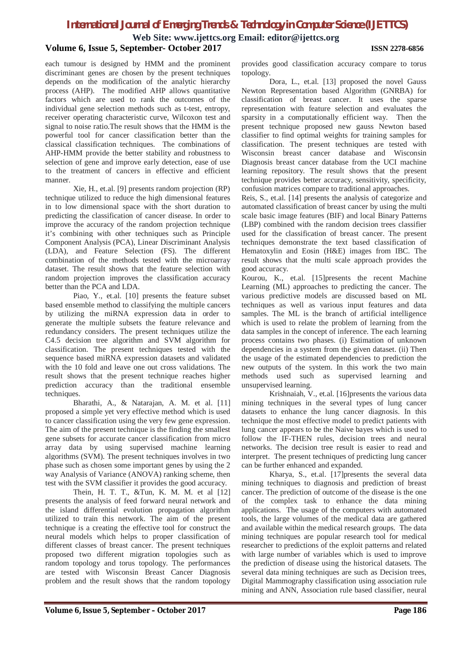**Web Site: [www.ijettcs.org](http://www.ijettcs.org) Email: [editor@ijettcs.org](mailto:editor@ijettcs.org)**

## **Volume 6, Issue 5, September- October 2017 ISSN 2278-6856**

each tumour is designed by HMM and the prominent discriminant genes are chosen by the present techniques depends on the modification of the analytic hierarchy process (AHP). The modified AHP allows quantitative factors which are used to rank the outcomes of the individual gene selection methods such as t-test, entropy, receiver operating characteristic curve, Wilcoxon test and signal to noise ratio.The result shows that the HMM is the powerful tool for cancer classification better than the classical classification techniques. The combinations of AHP-HMM provide the better stability and robustness to selection of gene and improve early detection, ease of use to the treatment of cancers in effective and efficient manner.

Xie, H., et.al. [9] presents random projection (RP) technique utilized to reduce the high dimensional features in to low dimensional space with the short duration to predicting the classification of cancer disease. In order to improve the accuracy of the random projection technique it's combining with other techniques such as Principle Component Analysis (PCA), Linear Discriminant Analysis (LDA), and Feature Selection (FS). The different combination of the methods tested with the microarray dataset. The result shows that the feature selection with random projection improves the classification accuracy better than the PCA and LDA.

Piao, Y., et.al. [10] presents the feature subset based ensemble method to classifying the multiple cancers by utilizing the miRNA expression data in order to generate the multiple subsets the feature relevance and redundancy considers. The present techniques utilize the C4.5 decision tree algorithm and SVM algorithm for classification. The present techniques tested with the sequence based miRNA expression datasets and validated with the 10 fold and leave one out cross validations. The result shows that the present technique reaches higher prediction accuracy than the traditional ensemble techniques.

Bharathi, A., & Natarajan, A. M. et al. [11] proposed a simple yet very effective method which is used to cancer classification using the very few gene expression. The aim of the present technique is the finding the smallest gene subsets for accurate cancer classification from micro array data by using supervised machine learning algorithms (SVM). The present techniques involves in two phase such as chosen some important genes by using the 2 way Analysis of Variance (ANOVA) ranking scheme, then test with the SVM classifier it provides the good accuracy.

Thein, H. T. T., &Tun, K. M. M. et al [12] presents the analysis of feed forward neural network and the island differential evolution propagation algorithm utilized to train this network. The aim of the present technique is a creating the effective tool for construct the neural models which helps to proper classification of different classes of breast cancer. The present techniques proposed two different migration topologies such as random topology and torus topology. The performances are tested with Wisconsin Breast Cancer Diagnosis problem and the result shows that the random topology

provides good classification accuracy compare to torus topology.

Dora, L., et.al. [13] proposed the novel Gauss Newton Representation based Algorithm (GNRBA) for classification of breast cancer. It uses the sparse representation with feature selection and evaluates the sparsity in a computationally efficient way. Then the present technique proposed new gauss Newton based classifier to find optimal weights for training samples for classification. The present techniques are tested with Wisconsin breast cancer database and Wisconsin Diagnosis breast cancer database from the UCI machine learning repository. The result shows that the present technique provides better accuracy, sensitivity, specificity, confusion matrices compare to traditional approaches.

Reis, S., et.al. [14] presents the analysis of categorize and automated classification of breast cancer by using the multi scale basic image features (BIF) and local Binary Patterns (LBP) combined with the random decision trees classifier used for the classification of breast cancer. The present techniques demonstrate the text based classification of Hematoxylin and Eosin (H&E) images from IBC. The result shows that the multi scale approach provides the good accuracy.

Kourou, K., et.al. [15]presents the recent Machine Learning (ML) approaches to predicting the cancer. The various predictive models are discussed based on ML techniques as well as various input features and data samples. The ML is the branch of artificial intelligence which is used to relate the problem of learning from the data samples in the concept of inference. The each learning process contains two phases. (i) Estimation of unknown dependencies in a system from the given dataset. (ii) Then the usage of the estimated dependencies to prediction the new outputs of the system. In this work the two main methods used such as supervised learning and unsupervised learning.

Krishnaiah, V., et.al. [16]presents the various data mining techniques in the several types of lung cancer datasets to enhance the lung cancer diagnosis. In this technique the most effective model to predict patients with lung cancer appears to be the Naive bayes which is used to follow the IF-THEN rules, decision trees and neural networks. The decision tree result is easier to read and interpret. The present techniques of predicting lung cancer can be further enhanced and expanded.

Kharya, S., et.al. [17]presents the several data mining techniques to diagnosis and prediction of breast cancer. The prediction of outcome of the disease is the one of the complex task to enhance the data mining applications. The usage of the computers with automated tools, the large volumes of the medical data are gathered and available within the medical research groups. The data mining techniques are popular research tool for medical researcher to predictions of the exploit patterns and related with large number of variables which is used to improve the prediction of disease using the historical datasets. The several data mining techniques are such as Decision trees, Digital Mammography classification using association rule mining and ANN, Association rule based classifier, neural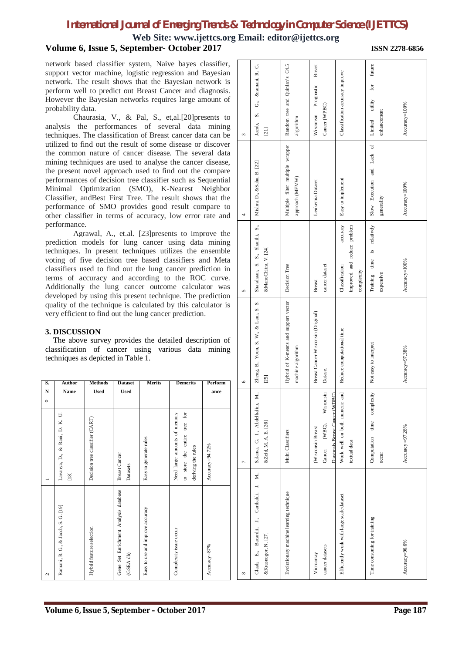## **Web Site: [www.ijettcs.org](http://www.ijettcs.org) Email: [editor@ijettcs.org](mailto:editor@ijettcs.org) Volume 6, Issue 5, September- October 2017 ISSN 2278-6856**

network based classifier system, Naive bayes classifier, support vector machine, logistic regression and Bayesian network. The result shows that the Bayesian network is perform well to predict out Breast Cancer and diagnosis. However the Bayesian networks requires large amount of probability data.

Chaurasia, V., & Pal, S., et,al.[20]presents to analysis the performances of several data mining techniques. The classification of Breast cancer data can be utilized to find out the result of some disease or discover the common nature of cancer disease. The several data mining techniques are used to analyse the cancer disease, the present novel approach used to find out the compare performances of decision tree classifier such as Sequential Minimal Optimization (SMO), K-Nearest Neighbor Classifier, andBest First Tree. The result shows that the performance of SMO provides good result compare to other classifier in terms of accuracy, low error rate and performance.

Agrawal, A., et.al. [23]presents to improve the prediction models for lung cancer using data mining techniques. In present techniques utilizes the ensemble voting of five decision tree based classifiers and Meta classifiers used to find out the lung cancer prediction in terms of accuracy and according to the ROC curve. Additionally the lung cancer outcome calculator was developed by using this present technique. The prediction quality of the technique is calculated by this calculator is very efficient to find out the lung cancer prediction.

## **3. DISCUSSION**

The above survey provides the detailed description of classification of cancer using various data mining techniques as depicted in Table 1.

| s.            | Author                                     | Methods                         | <b>Dataset</b>                                     | Merits                           | <b>Demerits</b>                                                                       | Perform         |
|---------------|--------------------------------------------|---------------------------------|----------------------------------------------------|----------------------------------|---------------------------------------------------------------------------------------|-----------------|
| N             | Name                                       | <b>Used</b>                     | <b>Used</b>                                        |                                  |                                                                                       | ance            |
| $\bf{0}$      |                                            |                                 |                                                    |                                  |                                                                                       |                 |
|               | S.<br>Lavanya, D., & Rani, D. K.<br>$[18]$ | Decision tree classifier (CART) | <b>Breast Cancer</b><br>Datasets                   | Easy to generate rules           | for<br>Need large amounts of memory<br>to store the entire tree<br>deriving the rules | Accuracy=94.72% |
| $\mathcal{L}$ | Ramani, R. G., & Jacob, S. G. [19]         | Hybrid feature selection        | Gene Set Enrichment Analysis database<br>(GSEA db) | Easy to use and improve accuracy | Complexity issue occur                                                                | Accuracy=87%    |

| $\infty$                                                          | $\overline{a}$                                                                      | G                                                         | 5                                                                       |                                                     | 3                                                      |
|-------------------------------------------------------------------|-------------------------------------------------------------------------------------|-----------------------------------------------------------|-------------------------------------------------------------------------|-----------------------------------------------------|--------------------------------------------------------|
| Glaab, E., Bacardit, J., Garibaldi, J. M.,<br>&Krasnogor, N. [27] | M.,<br>Salama, G. I., Abdelhalim,<br>&Zeid, M. A. E. [26]                           | Zheng, B., Yoon, S. W., & Lam, S. S.<br>$[25]$            | Shajahaan, S. S., Shanthi, S.,<br>&ManoChitra, V. [24]                  | Mishra, D., &Sahu, B. [22]                          | Jacob, S. G., &ramani, R. G.<br>$[21]$                 |
| Evolutionary machine learning technique                           | Multi Classifiers                                                                   | Hybrid of K-means and support vector<br>machine algorithm | Decision Tree                                                           | Multiple filter multiple wrapper<br>approach (MFMW) | Random tree and Quinlan's C4.5<br>algorithm            |
| cancer datasets<br>Microarray                                     | Cancer (WBC), Wisconsin<br>DBC)<br>Diagnosis Breast Cancer (WI<br>(Wisconsin Breast | Breast Cancer Wisconsin (Original)<br>Dataset             | cancer dataset<br>Breast                                                | Leukemia Dataset                                    | <b>Breast</b><br>Wisconsin Prognostic<br>Cancer (WPBC) |
| Efficiently work with large scale dataset                         | Work well on both numeric and<br>textual data                                       | Reduce computational time                                 | accuracy<br>improved and reduce problem<br>Classification<br>complexity | Easy to implement                                   | Classification accuracy improve                        |
| Time consuming for training                                       | Computation time complexity<br>occur                                                | Not easy to interpret                                     | relatively<br>is.<br>Training time<br>expensive                         | Slow Execution and Lack of<br>generality            | future<br>for<br>Limited utility<br>enhancement        |
| Accuracy=96.6%                                                    | Accuracy =97.28%                                                                    | Accuracy=97.38%                                           | Accuracy=100%                                                           | Accuracy=100%                                       | Accuracy=100%                                          |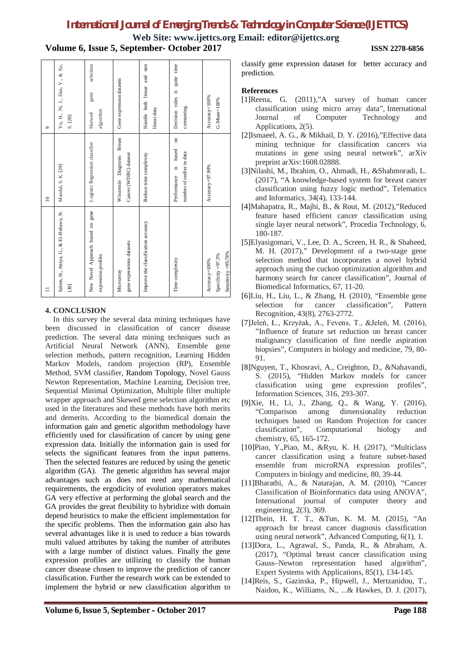**Web Site: [www.ijettcs.org](http://www.ijettcs.org) Email: [editor@ijettcs.org](mailto:editor@ijettcs.org) Volume 6, Issue 5, September- October 2017 ISSN 2278-6856**

|                                                            | $\approx$                                                                 | $\sigma$                                      |
|------------------------------------------------------------|---------------------------------------------------------------------------|-----------------------------------------------|
| Salem, H., Attiya, G., & El-Fishawy, N.<br>$[30]$          | Mandal, S. K. [29]                                                        | Yu, H., Ni, J., Dan, Y., & Xu,<br>S. [28]     |
| New Novel Approach based on gene<br>expression profiles    | Logistic Regression classifier                                            | selection<br>gene<br>algorithm<br>Skewed      |
| gene expressions datasets<br>Microarray                    | <b>Breast</b><br>Cancer (WDBC) dataset<br>Wisconsin Diagnosis             | Gene expression datasets                      |
| Improve the classification accuracy                        | Reduce time complexity                                                    | Handle both linear and non<br>linear data     |
| Time complexity                                            | $\overline{a}$<br>based<br>number of outlier in data<br>Š.<br>Performance | quite time<br>Decision rules is<br>consuming. |
| Sensitivity =99.78%<br>Specificity =97.3%<br>Accuracy=100% | Accuracy=97.90%                                                           | Accuracy=100%<br>G-Mean=100%                  |

## **4. CONCLUSION**

In this survey the several data mining techniques have been discussed in classification of cancer disease prediction. The several data mining techniques such as Artificial Neural Network (ANN), Ensemble gene selection methods, pattern recognition, Learning Hidden Markov Models, random projection (RP), Ensemble Method, SVM classifier, Random Topology, Novel Gauss Newton Representation, Machine Learning, Decision tree, Sequential Minimal Optimization, Multiple filter multiple wrapper approach and Skewed gene selection algorithm etc used in the literatures and these methods have both merits and demerits. According to the biomedical domain the information gain and genetic algorithm methodology have efficiently used for classification of cancer by using gene expression data. Initially the information gain is used for selects the significant features from the input patterns. Then the selected features are reduced by using the genetic algorithm (GA). The genetic algorithm has several major advantages such as does not need any mathematical requirements, the ergodicity of evolution operators makes GA very effective at performing the global search and the GA provides the great flexibility to hybridize with domain depend heuristics to make the efficient implementation for the specific problems. Then the information gain also has several advantages like it is used to reduce a bias towards multi valued attributes by taking the number of attributes with a large number of distinct values. Finally the gene expression profiles are utilizing to classify the human cancer disease chosen to improve the prediction of cancer classification. Further the research work can be extended to implement the hybrid or new classification algorithm to

classify gene expression dataset for better accuracy and prediction.

### **References**

- [1]Reena, G. (2011),"A survey of human cancer classification using micro array data", International Journal of Computer Technology and Applications, 2(5).
- [2]Ismaeel, A. G., & Mikhail, D. Y. (2016),"Effective data mining technique for classification cancers via mutations in gene using neural network", arXiv preprint arXiv:1608.02888.
- [3]Nilashi, M., Ibrahim, O., Ahmadi, H., &Shahmoradi, L. (2017), "A knowledge-based system for breast cancer classification using fuzzy logic method", Telematics and Informatics, 34(4), 133-144.
- [4]Mahapatra, R., Majhi, B., & Rout, M. (2012),"Reduced feature based efficient cancer classification using single layer neural network", Procedia Technology, 6, 180-187.
- [5]Elyasigomari, V., Lee, D. A., Screen, H. R., & Shaheed, M. H. (2017)," Development of a two-stage gene selection method that incorporates a novel hybrid approach using the cuckoo optimization algorithm and harmony search for cancer classification", Journal of Biomedical Informatics, 67, 11-20.
- [6]Liu, H., Liu, L., & Zhang, H. (2010), "Ensemble gene selection for cancer classification", Pattern Recognition, 43(8), 2763-2772.
- [7]Jeleń, Ł., Krzyżak, A., Fevens, T., &Jeleń, M. (2016), "Influence of feature set reduction on breast cancer malignancy classification of fine needle aspiration biopsies", Computers in biology and medicine, 79, 80- 91.
- [8]Nguyen, T., Khosravi, A., Creighton, D., &Nahavandi, S. (2015), "Hidden Markov models for cancer classification using gene expression profiles", Information Sciences, 316, 293-307.
- [9]Xie, H., Li, J., Zhang, Q., & Wang, Y. (2016), "Comparison among dimensionality reduction techniques based on Random Projection for cancer<br>classification". Computational biology and Computational biology and chemistry, 65, 165-172.
- [10]Piao, Y.,Piao, M., &Ryu, K. H. (2017), "Multiclass cancer classification using a feature subset-based ensemble from microRNA expression profiles", Computers in biology and medicine, 80, 39-44.
- [11]Bharathi, A., & Natarajan, A. M. (2010), "Cancer Classification of Bioinformatics data using ANOVA", International journal of computer theory and engineering, 2(3), 369.
- [12]Thein, H. T. T., &Tun, K. M. M. (2015), "An approach for breast cancer diagnosis classification using neural network", Advanced Computing, 6(1), 1.
- [13]Dora, L., Agrawal, S., Panda, R., & Abraham, A. (2017), "Optimal breast cancer classification using Gauss–Newton representation based algorithm", Expert Systems with Applications, 85(1), 134-145.
- [14]Reis, S., Gazinska, P., Hipwell, J., Mertzanidou, T., Naidoo, K., Williams, N., ...& Hawkes, D. J. (2017),